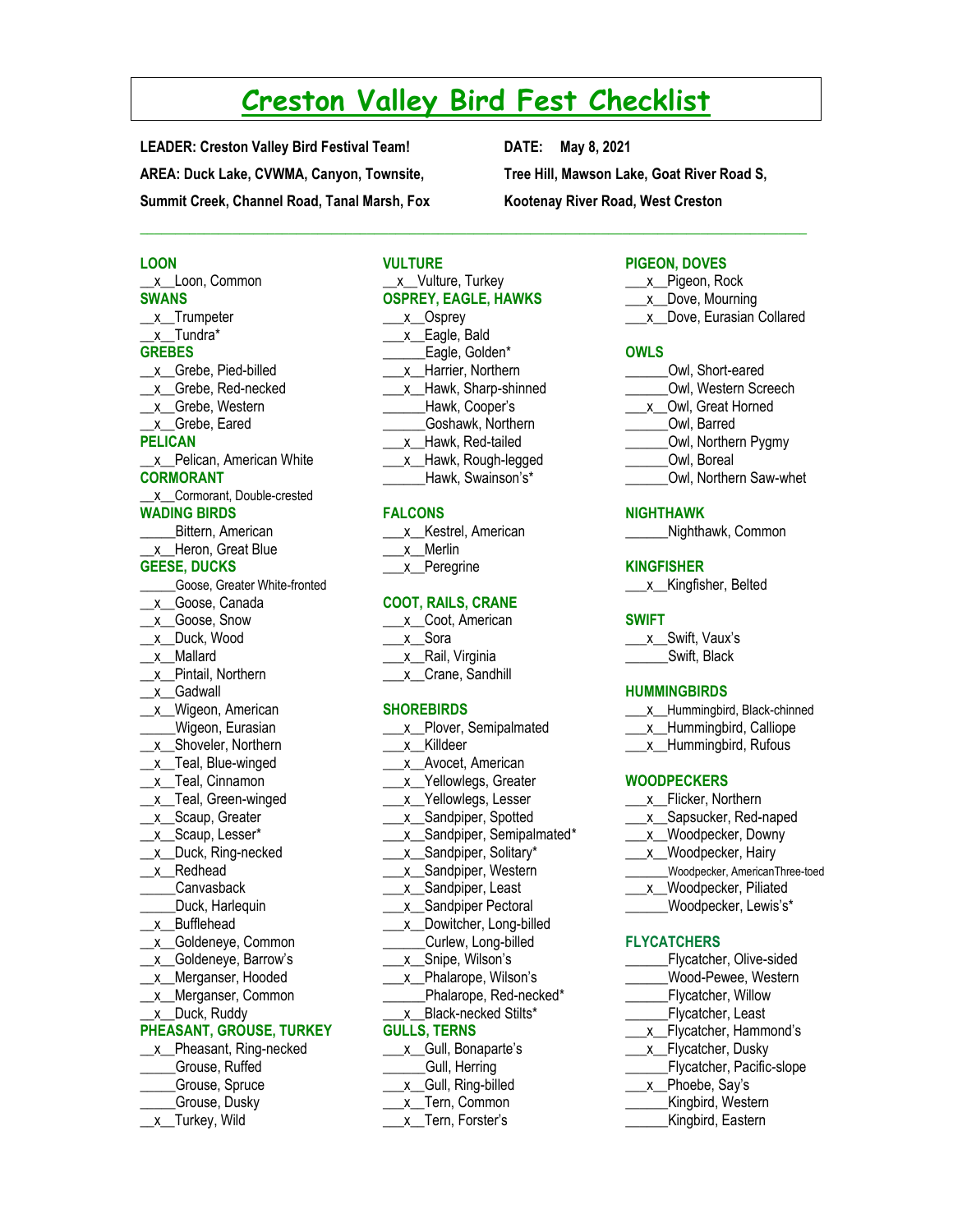# **Creston Valley Bird Fest Checklist**

 $\mathcal{L}_\mathcal{L} = \{ \mathcal{L}_\mathcal{L} = \{ \mathcal{L}_\mathcal{L} = \{ \mathcal{L}_\mathcal{L} = \{ \mathcal{L}_\mathcal{L} = \{ \mathcal{L}_\mathcal{L} = \{ \mathcal{L}_\mathcal{L} = \{ \mathcal{L}_\mathcal{L} = \{ \mathcal{L}_\mathcal{L} = \{ \mathcal{L}_\mathcal{L} = \{ \mathcal{L}_\mathcal{L} = \{ \mathcal{L}_\mathcal{L} = \{ \mathcal{L}_\mathcal{L} = \{ \mathcal{L}_\mathcal{L} = \{ \mathcal{L}_\mathcal{$ 

**LEADER: Creston Valley Bird Festival Team! DATE: May 8, 2021 AREA: Duck Lake, CVWMA, Canyon, Townsite, Summit Creek, Channel Road, Tanal Marsh, Fox** 

**Tree Hill, Mawson Lake, Goat River Road S, Kootenay River Road, West Creston**

#### **LOON**

**\_\_**x**\_\_**Loon, Common **SWANS \_\_**x\_\_Trumpeter \_\_x\_\_Tundra\* **GREBES** \_\_x\_\_Grebe, Pied-billed \_\_x\_\_Grebe, Red-necked \_x\_Grebe, Western \_\_x\_\_Grebe, Eared **PELICAN** \_\_x\_\_Pelican, American White **CORMORANT** \_\_x\_\_Cormorant, Double-crested **WADING BIRDS \_\_\_\_**\_Bittern, American \_\_x\_\_Heron, Great Blue **GEESE, DUCKS** \_\_\_\_\_Goose, Greater White-fronted \_\_x\_\_Goose, Canada \_\_x\_\_Goose, Snow \_\_x\_\_Duck, Wood \_\_x\_\_Mallard \_x\_Pintail, Northern \_\_x\_\_Gadwall \_\_x\_\_Wigeon, American \_\_\_\_\_Wigeon, Eurasian x Shoveler, Northern \_x\_Teal, Blue-winged \_x\_Teal, Cinnamon \_\_x\_\_Teal, Green-winged \_x\_Scaup, Greater \_x\_Scaup, Lesser\* \_\_x\_\_Duck, Ring-necked \_x\_Redhead \_\_\_\_\_Canvasback Duck, Harlequin \_\_x\_\_Bufflehead \_\_x\_\_Goldeneye, Common \_\_x\_\_Goldeneye, Barrow's \_\_x\_\_Merganser, Hooded \_\_x\_\_Merganser, Common \_\_x\_\_Duck, Ruddy **PHEASANT, GROUSE, TURKEY** \_\_x\_Pheasant, Ring-necked \_\_\_\_\_Grouse, Ruffed \_\_\_\_\_Grouse, Spruce \_\_\_\_\_Grouse, Dusky

\_\_x\_\_Turkey, Wild

# **VULTURE** \_x\_Vulture, Turkey **OSPREY, EAGLE, HAWKS**  $\underline{\phantom{a}}$ x $\underline{\phantom{a}}$ Osprey x Eagle, Bald Eagle, Golden\* \_\_\_x\_\_Harrier, Northern x Hawk, Sharp-shinned \_\_\_\_\_\_Hawk, Cooper's \_\_\_\_\_\_Goshawk, Northern

- \_\_\_x\_\_Hawk, Red-tailed
- \_\_\_x\_\_Hawk, Rough-legged
- \_\_\_\_\_\_Hawk, Swainson's\*

# **FALCONS**

| x Kestrel, American |
|---------------------|
| x Merlin            |
| x_Peregrine         |

### **COOT, RAILS, CRANE**

| x. | Coot, American    |
|----|-------------------|
|    | x Sora            |
|    | x__Rail, Virginia |
|    | _Crane, Sandhill  |

#### **SHOREBIRDS**

| Plover, Semipalmated<br>χ     |
|-------------------------------|
| Killdeer<br>x                 |
| Avocet, American<br>x         |
| Yellowlegs, Greater<br>x      |
| Yellowlegs, Lesser<br>x       |
| Sandpiper, Spotted<br>X       |
| Sandpiper, Semipalmated*<br>Χ |
| Sandpiper, Solitary*<br>χ     |
| Sandpiper, Western<br>χ       |
| Sandpiper, Least<br>Χ         |
| Sandpiper Pectoral<br>χ       |
| Dowitcher, Long-billed<br>χ   |
| Curlew, Long-billed           |
| Snipe, Wilson's<br>x          |
| Phalarope, Wilson's<br>x      |
| Phalarope, Red-necked*        |
| Black-necked Stilts*<br>x     |
| <b>GULLS, TERNS</b>           |
| Gull, Bonaparte's<br>X        |
| Gull, Herring                 |
| Gull, Ring-billed<br>х        |
|                               |

\_\_\_x\_\_Tern, Common \_\_\_x\_\_Tern, Forster's

#### **PIGEON, DOVES**

| x_Pigeon, Rock            |
|---------------------------|
| x Dove, Mourning          |
| x Dove, Eurasian Collared |

# **OWLS**

- \_\_\_\_\_\_Owl, Short-eared
- \_\_\_\_\_\_Owl, Western Screech
- \_\_\_x\_\_Owl, Great Horned
- \_\_\_\_\_\_Owl, Barred
- \_\_\_\_\_\_Owl, Northern Pygmy
- \_\_\_\_\_\_Owl, Boreal
- \_\_\_\_\_\_Owl, Northern Saw-whet

#### **NIGHTHAWK**

**\_\_\_\_\_\_**Nighthawk, Common

#### **KINGFISHER**

\_\_\_x\_\_Kingfisher, Belted

#### **SWIFT**

\_\_\_x**\_**\_Swift, Vaux's Swift, Black

#### **HUMMINGBIRDS**

- \_\_\_x\_\_Hummingbird, Black-chinned
- \_\_\_x\_Hummingbird, Calliope
- \_\_\_x\_\_Hummingbird, Rufous

### **WOODPECKERS**

- \_\_\_x\_\_Flicker, Northern
- \_\_\_x\_\_Sapsucker, Red-naped
- \_\_\_x\_\_Woodpecker, Downy
- \_\_\_x\_Woodpecker, Hairy
- \_\_\_\_\_\_Woodpecker, AmericanThree-toed
- \_x\_Woodpecker, Piliated
- \_Woodpecker, Lewis's\*

# **FLYCATCHERS**

- Flycatcher, Olive-sided
- \_\_\_\_\_\_Wood-Pewee, Western
- **\_\_\_\_\_\_**Flycatcher, Willow
- Flycatcher, Least
- x Flycatcher, Hammond's
- \_\_x\_Flycatcher, Dusky
- \_\_\_\_\_\_Flycatcher, Pacific-slope
- \_x\_Phoebe, Say's
- \_\_\_\_\_\_Kingbird, Western
- \_\_\_\_\_\_Kingbird, Eastern